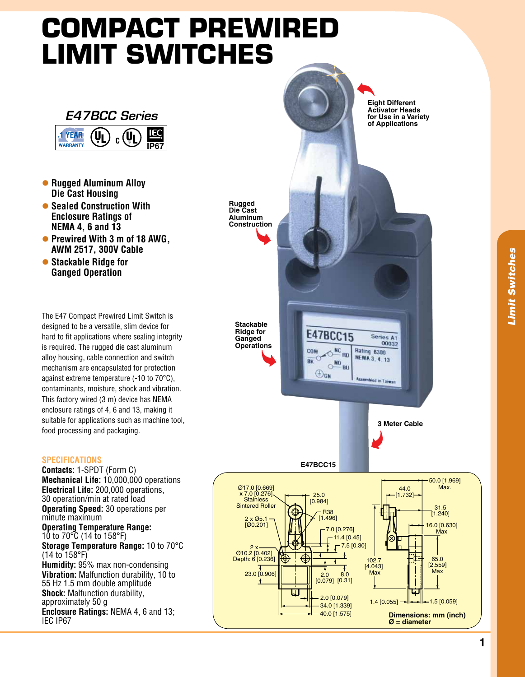## **Compact Prewired Limit Switches**



- **Rugged Aluminum Alloy Die cast housing**
- **Sealed Construction With Enclosure Ratings of NEMA 4, 6 and 13**
- **Prewired With 3 m of 18 AWG. AWM 2517, 300V cable**
- **Stackable Ridge for ganged operation**

The E47 Compact Prewired Limit Switch is designed to be a versatile, slim device for hard to fit applications where sealing integrity is required. The rugged die cast aluminum alloy housing, cable connection and switch mechanism are encapsulated for protection against extreme temperature (-10 to 70°C), contaminants, moisture, shock and vibration. This factory wired (3 m) device has NEMA enclosure ratings of 4, 6 and 13, making it suitable for applications such as machine tool, food processing and packaging.

## **Specifications**

**Contacts:** 1-SPDT (Form C) **Mechanical Life:** 10,000,000 operations **Electrical Life:** 200,000 operations, 30 operation/min at rated load **Operating Speed:** 30 operations per minute maximum **Operating Temperature Range:** 10 to 70°C (14 to 158°F) **Storage Temperature Range:** 10 to 70°C (14 to 158°F) **Humidity:** 95% max non-condensing **Vibration:** Malfunction durability, 10 to 55 Hz 1.5 mm double amplitude **Shock:** Malfunction durability, approximately 50 g **Enclosure Ratings:** NEMA 4, 6 and 13; IEC IP67